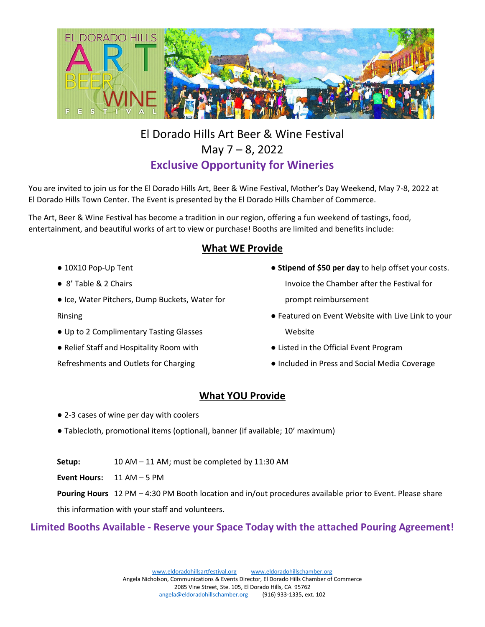

# El Dorado Hills Art Beer & Wine Festival May 7 – 8, 2022 **Exclusive Opportunity for Wineries**

You are invited to join us for the El Dorado Hills Art, Beer & Wine Festival, Mother's Day Weekend, May 7-8, 2022 at El Dorado Hills Town Center. The Event is presented by the El Dorado Hills Chamber of Commerce.

The Art, Beer & Wine Festival has become a tradition in our region, offering a fun weekend of tastings, food, entertainment, and beautiful works of art to view or purchase! Booths are limited and benefits include:

#### **What WE Provide**

- 10X10 Pop-Up Tent
- 8' Table & 2 Chairs
- Ice, Water Pitchers, Dump Buckets, Water for Rinsing
- Up to 2 Complimentary Tasting Glasses
- Relief Staff and Hospitality Room with
- Refreshments and Outlets for Charging
- **Stipend of \$50 per day** to help offset your costs. Invoice the Chamber after the Festival for
	- prompt reimbursement
- Featured on Event Website with Live Link to your Website
- Listed in the Official Event Program
- Included in Press and Social Media Coverage

## **What YOU Provide**

- 2-3 cases of wine per day with coolers
- Tablecloth, promotional items (optional), banner (if available; 10' maximum)
- **Setup:** 10 AM 11 AM; must be completed by 11:30 AM

**Event Hours:** 11 AM – 5 PM

**Pouring Hours** 12 PM – 4:30 PM Booth location and in/out procedures available prior to Event. Please share

this information with your staff and volunteers.

## **Limited Booths Available - Reserve your Space Today with the attached Pouring Agreement!**